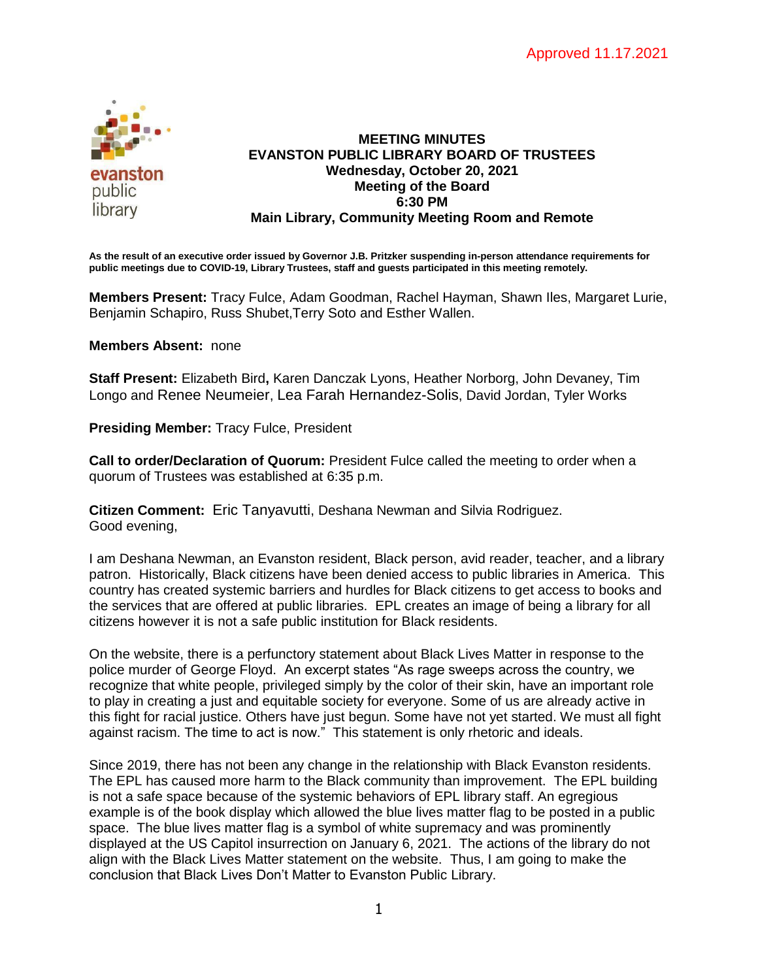

### **MEETING MINUTES EVANSTON PUBLIC LIBRARY BOARD OF TRUSTEES Wednesday, October 20, 2021 Meeting of the Board 6:30 PM Main Library, Community Meeting Room and Remote**

**As the result of an executive order issued by Governor J.B. Pritzker suspending in-person attendance requirements for public meetings due to COVID-19, Library Trustees, staff and guests participated in this meeting remotely.**

**Members Present:** Tracy Fulce, Adam Goodman, Rachel Hayman, Shawn Iles, Margaret Lurie, Benjamin Schapiro, Russ Shubet,Terry Soto and Esther Wallen.

#### **Members Absent:** none

**Staff Present:** Elizabeth Bird**,** Karen Danczak Lyons, Heather Norborg, John Devaney, Tim Longo and Renee Neumeier, Lea Farah Hernandez-Solis, David Jordan, Tyler Works

**Presiding Member:** Tracy Fulce, President

**Call to order/Declaration of Quorum:** President Fulce called the meeting to order when a quorum of Trustees was established at 6:35 p.m.

**Citizen Comment:** Eric Tanyavutti, Deshana Newman and Silvia Rodriguez. Good evening,

I am Deshana Newman, an Evanston resident, Black person, avid reader, teacher, and a library patron. Historically, Black citizens have been denied access to public libraries in America. This country has created systemic barriers and hurdles for Black citizens to get access to books and the services that are offered at public libraries. EPL creates an image of being a library for all citizens however it is not a safe public institution for Black residents.

On the website, there is a perfunctory statement about Black Lives Matter in response to the police murder of George Floyd. An excerpt states "As rage sweeps across the country, we recognize that white people, privileged simply by the color of their skin, have an important role to play in creating a just and equitable society for everyone. Some of us are already active in this fight for racial justice. Others have just begun. Some have not yet started. We must all fight against racism. The time to act is now." This statement is only rhetoric and ideals.

Since 2019, there has not been any change in the relationship with Black Evanston residents. The EPL has caused more harm to the Black community than improvement. The EPL building is not a safe space because of the systemic behaviors of EPL library staff. An egregious example is of the book display which allowed the blue lives matter flag to be posted in a public space. The blue lives matter flag is a symbol of white supremacy and was prominently displayed at the US Capitol insurrection on January 6, 2021. The actions of the library do not align with the Black Lives Matter statement on the website. Thus, I am going to make the conclusion that Black Lives Don't Matter to Evanston Public Library.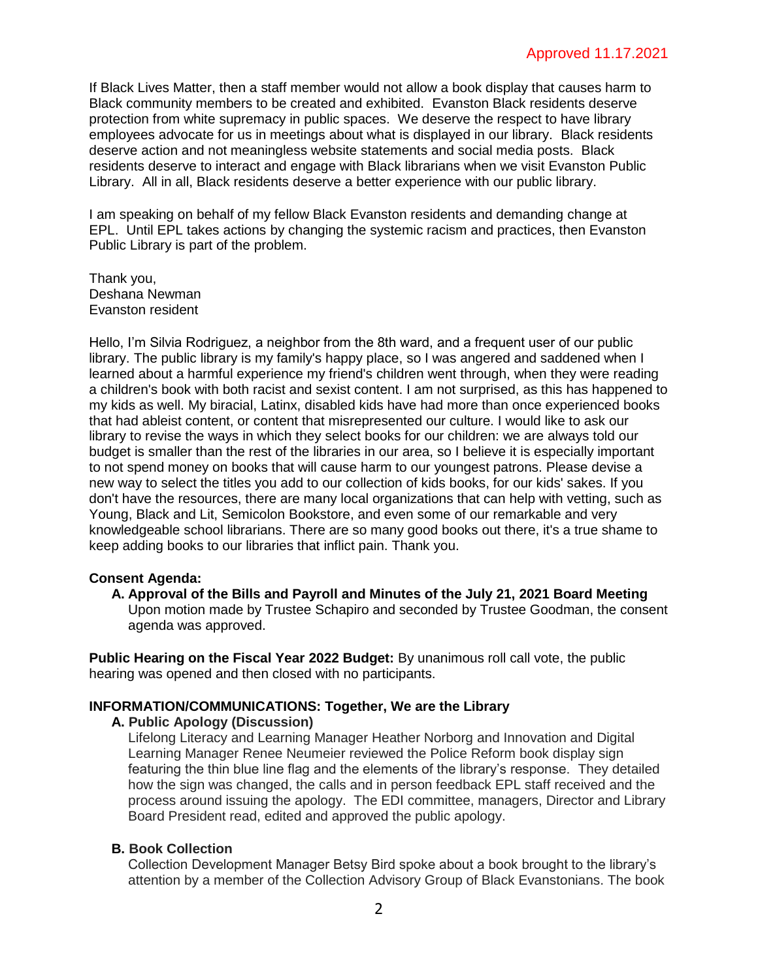If Black Lives Matter, then a staff member would not allow a book display that causes harm to Black community members to be created and exhibited. Evanston Black residents deserve protection from white supremacy in public spaces. We deserve the respect to have library employees advocate for us in meetings about what is displayed in our library. Black residents deserve action and not meaningless website statements and social media posts. Black residents deserve to interact and engage with Black librarians when we visit Evanston Public Library. All in all, Black residents deserve a better experience with our public library.

I am speaking on behalf of my fellow Black Evanston residents and demanding change at EPL. Until EPL takes actions by changing the systemic racism and practices, then Evanston Public Library is part of the problem.

Thank you, Deshana Newman Evanston resident

Hello, I'm Silvia Rodriguez, a neighbor from the 8th ward, and a frequent user of our public library. The public library is my family's happy place, so I was angered and saddened when I learned about a harmful experience my friend's children went through, when they were reading a children's book with both racist and sexist content. I am not surprised, as this has happened to my kids as well. My biracial, Latinx, disabled kids have had more than once experienced books that had ableist content, or content that misrepresented our culture. I would like to ask our library to revise the ways in which they select books for our children: we are always told our budget is smaller than the rest of the libraries in our area, so I believe it is especially important to not spend money on books that will cause harm to our youngest patrons. Please devise a new way to select the titles you add to our collection of kids books, for our kids' sakes. If you don't have the resources, there are many local organizations that can help with vetting, such as Young, Black and Lit, Semicolon Bookstore, and even some of our remarkable and very knowledgeable school librarians. There are so many good books out there, it's a true shame to keep adding books to our libraries that inflict pain. Thank you.

#### **Consent Agenda:**

**A. Approval of the Bills and Payroll and Minutes of the July 21, 2021 Board Meeting** Upon motion made by Trustee Schapiro and seconded by Trustee Goodman, the consent agenda was approved.

**Public Hearing on the Fiscal Year 2022 Budget:** By unanimous roll call vote, the public hearing was opened and then closed with no participants.

## **INFORMATION/COMMUNICATIONS: Together, We are the Library**

#### **A. Public Apology (Discussion)**

Lifelong Literacy and Learning Manager Heather Norborg and Innovation and Digital Learning Manager Renee Neumeier reviewed the Police Reform book display sign featuring the thin blue line flag and the elements of the library's response. They detailed how the sign was changed, the calls and in person feedback EPL staff received and the process around issuing the apology. The EDI committee, managers, Director and Library Board President read, edited and approved the public apology.

## **B. Book Collection**

Collection Development Manager Betsy Bird spoke about a book brought to the library's attention by a member of the Collection Advisory Group of Black Evanstonians. The book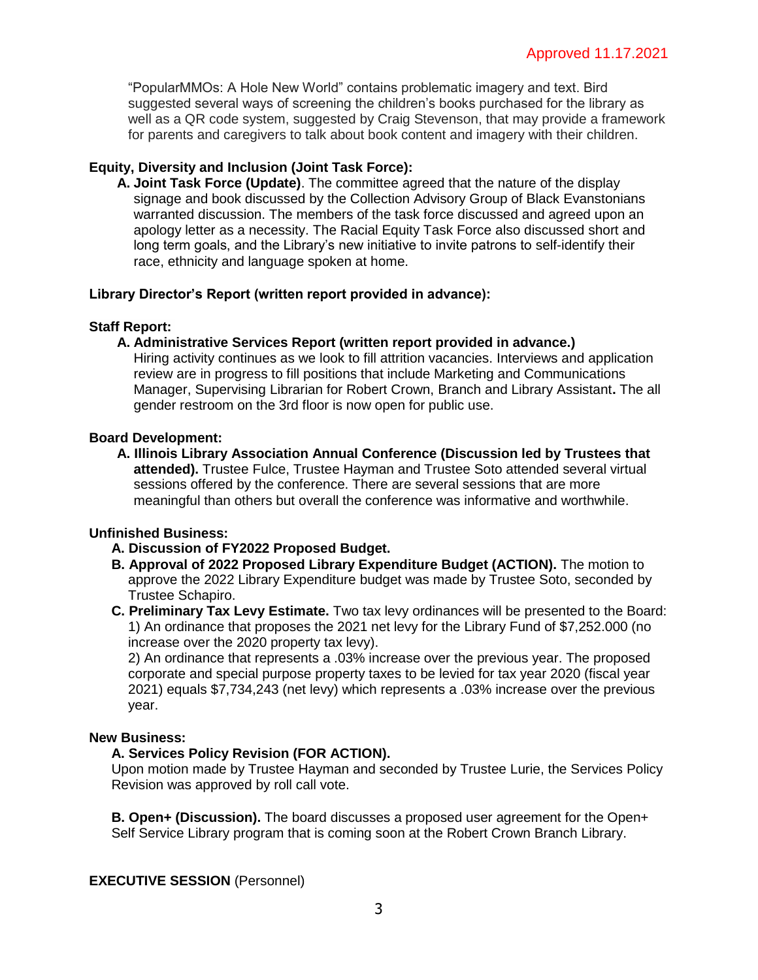"PopularMMOs: A Hole New World" contains problematic imagery and text. Bird suggested several ways of screening the children's books purchased for the library as well as a QR code system, suggested by Craig Stevenson, that may provide a framework for parents and caregivers to talk about book content and imagery with their children.

## **Equity, Diversity and Inclusion (Joint Task Force):**

**A. Joint Task Force (Update)**. The committee agreed that the nature of the display signage and book discussed by the Collection Advisory Group of Black Evanstonians warranted discussion. The members of the task force discussed and agreed upon an apology letter as a necessity. The Racial Equity Task Force also discussed short and long term goals, and the Library's new initiative to invite patrons to self-identify their race, ethnicity and language spoken at home.

## **Library Director's Report (written report provided in advance):**

## **Staff Report:**

## **A. Administrative Services Report (written report provided in advance.)**

Hiring activity continues as we look to fill attrition vacancies. Interviews and application review are in progress to fill positions that include Marketing and Communications Manager, Supervising Librarian for Robert Crown, Branch and Library Assistant**.** The all gender restroom on the 3rd floor is now open for public use.

## **Board Development:**

**A. Illinois Library Association Annual Conference (Discussion led by Trustees that attended).** Trustee Fulce, Trustee Hayman and Trustee Soto attended several virtual sessions offered by the conference. There are several sessions that are more meaningful than others but overall the conference was informative and worthwhile.

## **Unfinished Business:**

- **A. Discussion of FY2022 Proposed Budget.**
- **B. Approval of 2022 Proposed Library Expenditure Budget (ACTION).** The motion to approve the 2022 Library Expenditure budget was made by Trustee Soto, seconded by Trustee Schapiro.
- **C. Preliminary Tax Levy Estimate.** Two tax levy ordinances will be presented to the Board: 1) An ordinance that proposes the 2021 net levy for the Library Fund of \$7,252.000 (no increase over the 2020 property tax levy).

2) An ordinance that represents a .03% increase over the previous year. The proposed corporate and special purpose property taxes to be levied for tax year 2020 (fiscal year 2021) equals \$7,734,243 (net levy) which represents a .03% increase over the previous year.

## **New Business:**

# **A. Services Policy Revision (FOR ACTION).**

Upon motion made by Trustee Hayman and seconded by Trustee Lurie, the Services Policy Revision was approved by roll call vote.

**B. Open+ (Discussion).** The board discusses a proposed user agreement for the Open+ Self Service Library program that is coming soon at the Robert Crown Branch Library.

# **EXECUTIVE SESSION** (Personnel)